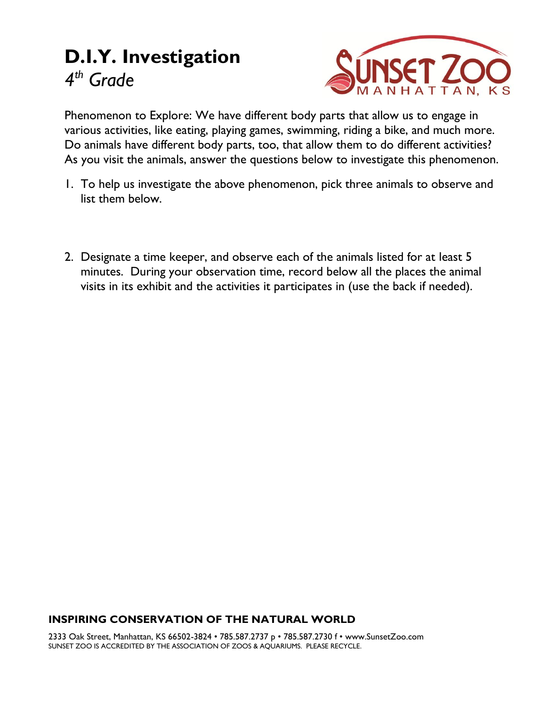# **D.I.Y. Investigation** *4 th Grade*



Phenomenon to Explore: We have different body parts that allow us to engage in various activities, like eating, playing games, swimming, riding a bike, and much more. Do animals have different body parts, too, that allow them to do different activities? As you visit the animals, answer the questions below to investigate this phenomenon.

- 1. To help us investigate the above phenomenon, pick three animals to observe and list them below.
- 2. Designate a time keeper, and observe each of the animals listed for at least 5 minutes. During your observation time, record below all the places the animal visits in its exhibit and the activities it participates in (use the back if needed).

#### **INSPIRING CONSERVATION OF THE NATURAL WORLD**

2333 Oak Street, Manhattan, KS 66502-3824 • 785.587.2737 p • 785.587.2730 f • www.SunsetZoo.com SUNSET ZOO IS ACCREDITED BY THE ASSOCIATION OF ZOOS & AQUARIUMS. PLEASE RECYCLE.